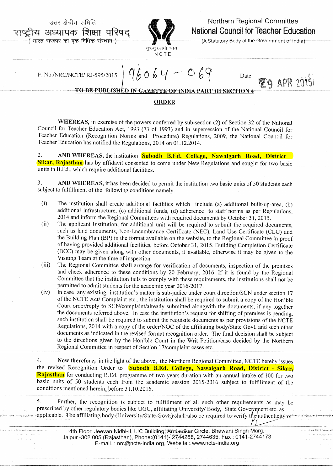उत्तर क्षेत्रीय समिति अध्यापक शिक्षा परिषद

भारत सरकार का एक विधिक संस्थान )



## Northern Regional Committee National Council for Teacher Education

(A Statutory Body of the Government of India)

Date:

APR 20151

F. No./NRC/NCTE/RJ-595/2015

 $96064 - 069$ 

## TO BE PUBLISHED IN GAZETTE OF INDIA PART III SECTION 4

## **ORDER**

WHEREAS, in exercise of the powers conferred by sub-section (2) of Section 32 of the National Council for Teacher Education Act, 1993 (73 of 1993) and in supersession of the National Council for Teacher Education (Recognition Norms and Procedure) Regulations, 2009, the National Council for Teacher Education has notified the Regulations, 2014 on 01.12.2014.

2. AND WHEREAS, the institution **Subodh B.Ed. College, Nawalgarh Road, District -Sikar, Rajasthan** has by affidavit consented to come under New Regulations and sought for two basic units in B.Ed., which require additional facilities.

 $\overline{3}$ . AND WHEREAS, it has been decided to permit the institution two basic units of 50 students each subject to fulfillment of the following conditions namely.

- $(i)$ The institution shall create additional facilities which include (a) additional built-up-area, (b) additional infrastructure, (c) additional funds, (d) adherence to staff norms as per Regulations, 2014 and inform the Regional Committees with required documents by October 31, 2015.
- $(ii)$ The applicant Institution, for additional unit will be required to submit the required documents, such as land documents, Non-Encumbrance Certificate (NEC), Land Use Certificate (CLU) and the Building Plan (BP) in the format available on the website, to the Regional Committee in proof of having provided additional facilities, before October 31, 2015. Building Completion Certificate (BCC) may be given along with other documents, if available, otherwise it may be given to the Visiting Team at the time of inspection.
- $(iii)$ The Regional Committee shall arrange for verification of documents, inspection of the premises and check adherence to these conditions by 20 February, 2016. If it is found by the Regional Committee that the institution fails to comply with these requirements, the institutions shall not be permitted to admit students for the academic year 2016-2017.
- In case any existing institution's matter is sub-judice under court direction/SCN under section 17  $(iv)$ of the NCTE Act/ Complaint etc., the institution shall be required to submit a copy of the Hon'ble Court order/reply to SCN/complaint/already submitted alongwith the documents, if any together the documents referred above. In case the institution's request for shifting of premises is pending, such institution shall be required to submit the requisite documents as per provisions of the NCTE Regulations, 2014 with a copy of the order/NOC of the affiliating body/State Govt. and such other documents as indicated in the revised format recognition order. The final decision shall be subject to the directions given by the Hon'ble Court in the Writ Petition/case decided by the Northern Regional Committee in respect of Section 17/complaint cases etc.

4. Now therefore, in the light of the above, the Northern Regional Committee, NCTE hereby issues the revised Recognition Order to Subodh B.Ed. College, Nawalgarh Road, District - Sikar, Rajasthan for conducting B.Ed. programme of two years duration with an annual intake of 100 for two basic units of 50 students each from the academic session 2015-2016 subject to fulfillment of the conditions mentioned herein, before 31.10.2015.

5. Further, the recognition is subject to fulfillment of all such other requirements as may be prescribed by other regulatory bodies like UGC, affiliating University/ Body, State Government etc. as applicable. The affiliating body (University/State-Gove) shall also be required to verify the authenticity of

> 4th Floor, Jeevan Nidhi-II, LIC Building, Ambedkar Circle, Bhawani Singh Marg, Jaipur -302 005 (Rajasthan), Phone: (0141)-2744288, 2744635, Fax: 0141-2744173 E-mail.: nrc@ncte-india.org, Website : www.ncte-india.org